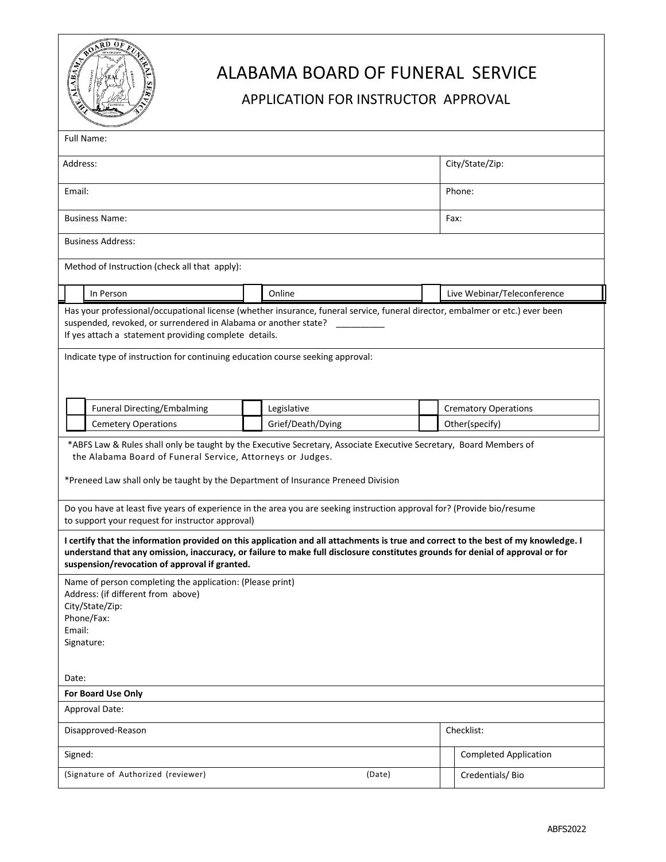

# ALABAMA BOARD OF FUNERAL SERVICE

### APPLICATION FOR INSTRUCTOR APPROVAL

| Full Name:                                                                                                                                                                                                                                                                                                                     |  |                   |  |                              |  |
|--------------------------------------------------------------------------------------------------------------------------------------------------------------------------------------------------------------------------------------------------------------------------------------------------------------------------------|--|-------------------|--|------------------------------|--|
| Address:                                                                                                                                                                                                                                                                                                                       |  |                   |  | City/State/Zip:              |  |
| Email:                                                                                                                                                                                                                                                                                                                         |  |                   |  | Phone:                       |  |
| <b>Business Name:</b>                                                                                                                                                                                                                                                                                                          |  |                   |  | Fax:                         |  |
| <b>Business Address:</b>                                                                                                                                                                                                                                                                                                       |  |                   |  |                              |  |
| Method of Instruction (check all that apply):                                                                                                                                                                                                                                                                                  |  |                   |  |                              |  |
| In Person                                                                                                                                                                                                                                                                                                                      |  | Online            |  | Live Webinar/Teleconference  |  |
| suspended, revoked, or surrendered in Alabama or another state?<br>If yes attach a statement providing complete details.<br>Indicate type of instruction for continuing education course seeking approval:                                                                                                                     |  |                   |  |                              |  |
| <b>Funeral Directing/Embalming</b>                                                                                                                                                                                                                                                                                             |  | Legislative       |  | <b>Crematory Operations</b>  |  |
| <b>Cemetery Operations</b>                                                                                                                                                                                                                                                                                                     |  | Grief/Death/Dying |  | Other(specify)               |  |
| the Alabama Board of Funeral Service, Attorneys or Judges.<br>*Preneed Law shall only be taught by the Department of Insurance Preneed Division<br>Do you have at least five years of experience in the area you are seeking instruction approval for? (Provide bio/resume<br>to support your request for instructor approval) |  |                   |  |                              |  |
| I certify that the information provided on this application and all attachments is true and correct to the best of my knowledge. I<br>understand that any omission, inaccuracy, or failure to make full disclosure constitutes grounds for denial of approval or for<br>suspension/revocation of approval if granted.          |  |                   |  |                              |  |
| Name of person completing the application: (Please print)<br>Address: (if different from above)<br>City/State/Zip:<br>Phone/Fax:<br>Email:<br>Signature:                                                                                                                                                                       |  |                   |  |                              |  |
| Date:                                                                                                                                                                                                                                                                                                                          |  |                   |  |                              |  |
| For Board Use Only                                                                                                                                                                                                                                                                                                             |  |                   |  |                              |  |
| Approval Date:                                                                                                                                                                                                                                                                                                                 |  |                   |  |                              |  |
| Disapproved-Reason                                                                                                                                                                                                                                                                                                             |  |                   |  | Checklist:                   |  |
| Signed:                                                                                                                                                                                                                                                                                                                        |  |                   |  | <b>Completed Application</b> |  |
| (Signature of Authorized (reviewer)<br>(Date)                                                                                                                                                                                                                                                                                  |  |                   |  | Credentials/Bio              |  |